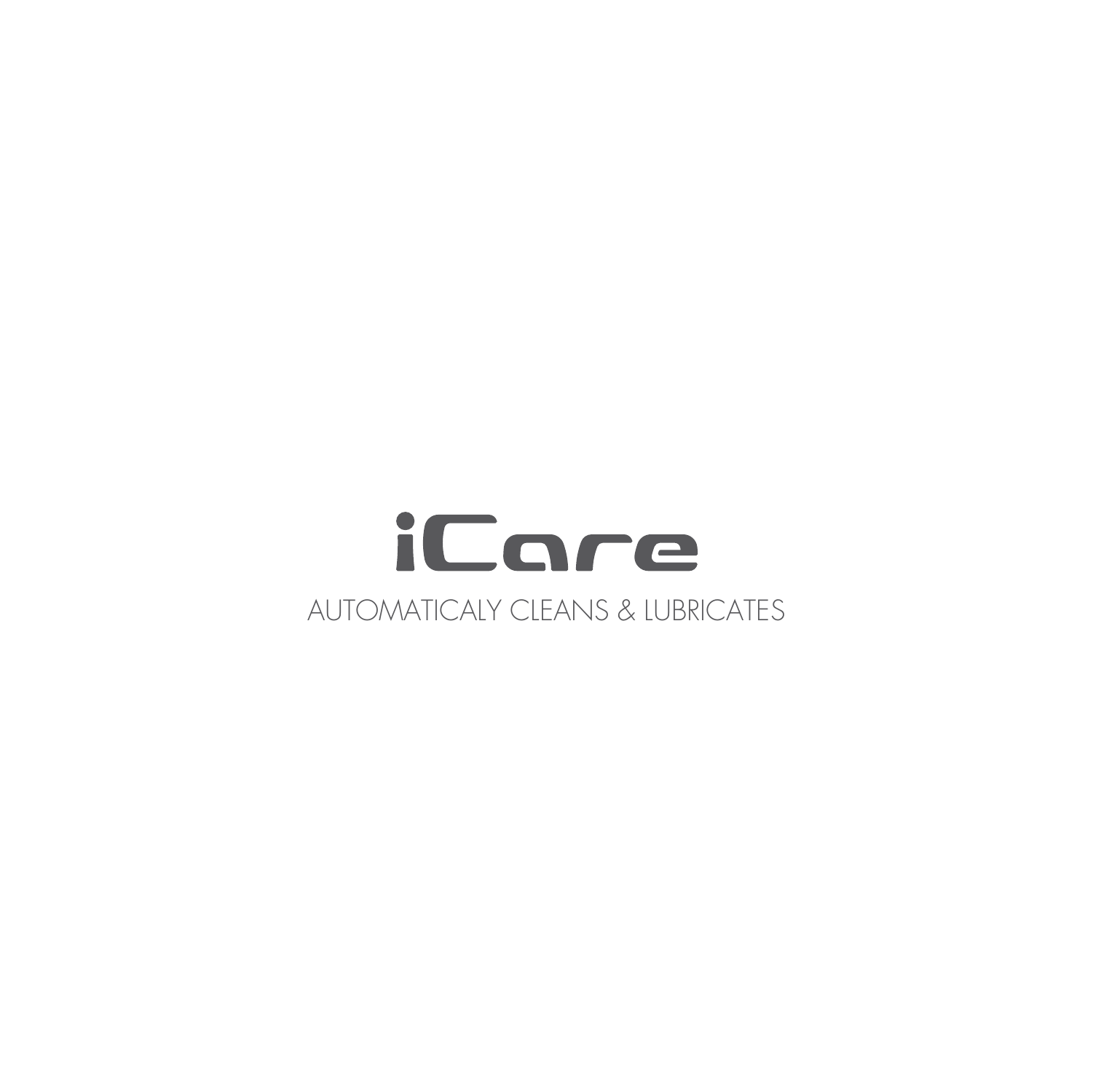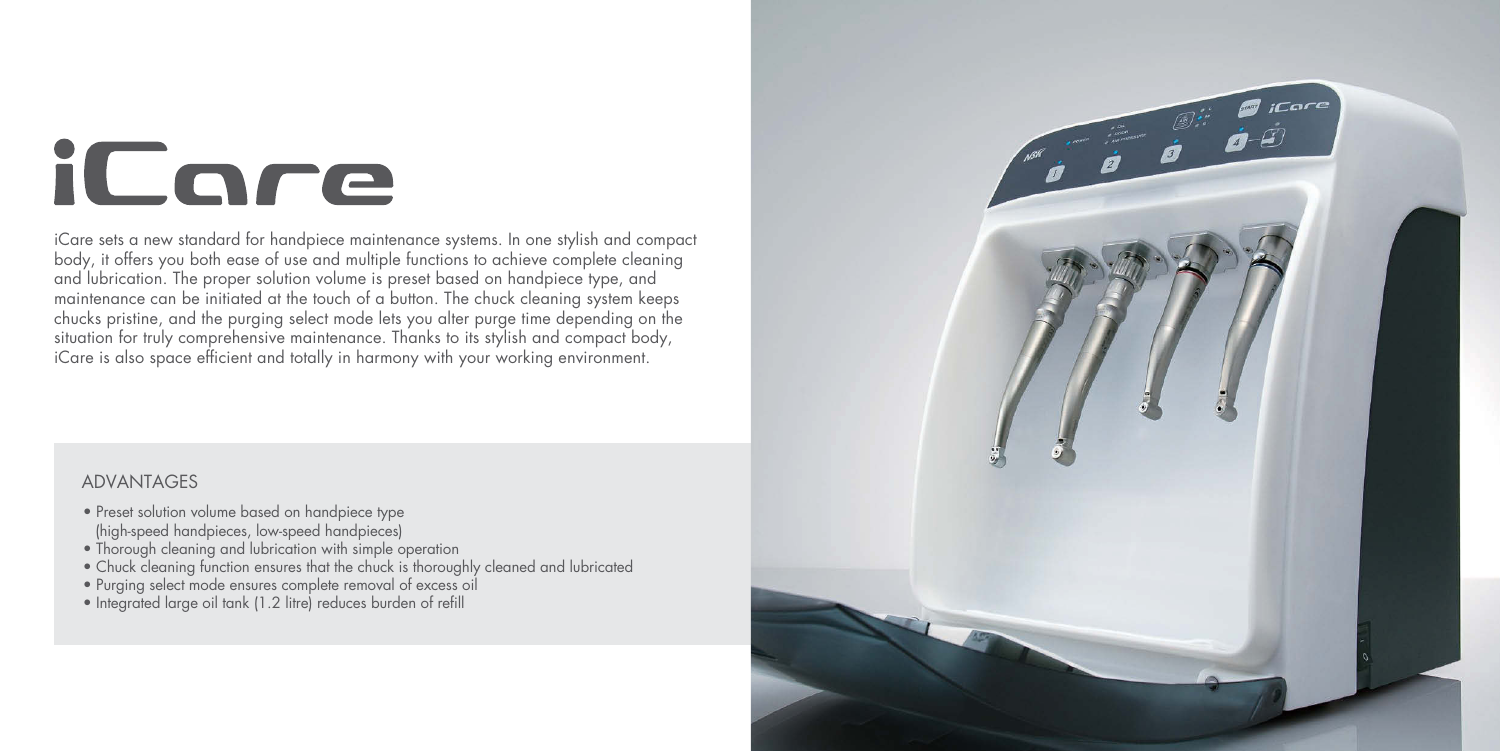# iCare

iCare sets a new standard for handpiece maintenance systems. In one stylish and compact body, it offers you both ease of use and multiple functions to achieve complete cleaning and lubrication. The proper solution volume is preset based on handpiece type, and maintenance can be initiated at the touch of a button. The chuck cleaning system keeps chucks pristine, and the purging select mode lets you alter purge time depending on the situation for truly comprehensive maintenance. Thanks to its stylish and compact body, iCare is also space efficient and totally in harmony with your working environment.

- Preset solution volume based on handpiece type (high-speed handpieces, low-speed handpieces)
- Thorough cleaning and lubrication with simple operation
- Chuck cleaning function ensures that the chuck is thoroughly cleaned and lubricated
- Purging select mode ensures complete removal of excess oil
- Integrated large oil tank (1.2 litre) reduces burden of refill



## ADVANTAGES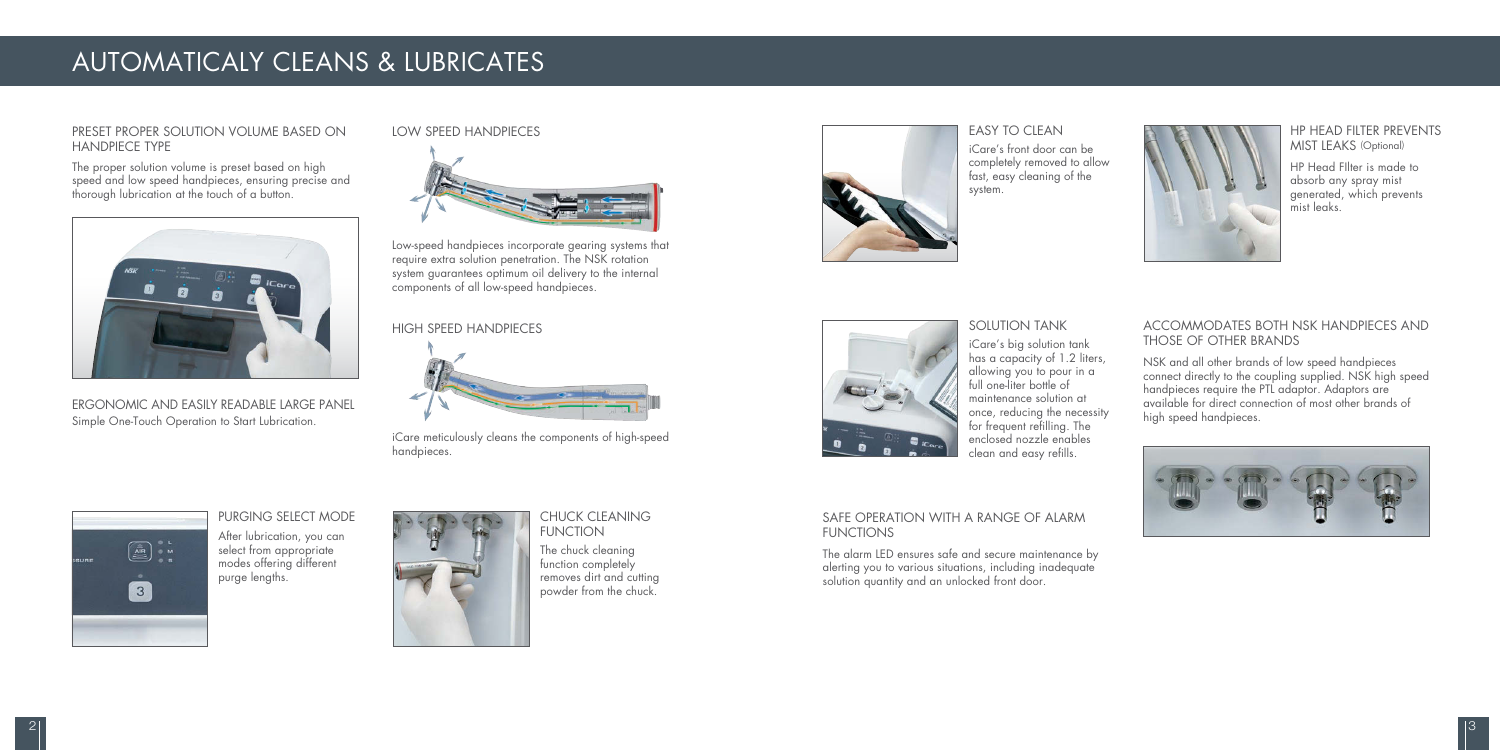NSK and all other brands of low speed handpieces connect directly to the coupling supplied. NSK high speed handpieces require the PTL adaptor. Adaptors are available for direct connection of most other brands of high speed handpieces.



The alarm LED ensures safe and secure maintenance by alerting you to various situations, including inadequate solution quantity and an unlocked front door.



#### ACCOMMODATES BOTH NSK HANDPIECES AND THOSE OF OTHER BRANDS

#### SAFE OPERATION WITH A RANGE OF ALARM FUNCTIONS

#### PRESET PROPER SOLUTION VOLUME BASED ON HANDPIECE TYPE

The proper solution volume is preset based on high speed and low speed handpieces, ensuring precise and thorough lubrication at the touch of a button.



ERGONOMIC AND EASILY READABLE LARGE PANEL Simple One-Touch Operation to Start Lubrication.

#### PURGING SELECT MODE

After lubrication, you can select from appropriate modes offering different purge lengths.



#### CHUCK CLEANING FUNCTION

The chuck cleaning function completely removes dirt and cutting powder from the chuck.

#### SOLUTION TANK

iCare's big solution tank has a capacity of 1.2 liters, allowing you to pour in a full one-liter bottle of maintenance solution at once, reducing the necessity for frequent refilling. The enclosed nozzle enables clean and easy refills.

## $\begin{picture}(20,20) \put(0,0){\line(1,0){155}} \put(15,0){\line(1,0){155}} \put(15,0){\line(1,0){155}} \put(15,0){\line(1,0){155}} \put(15,0){\line(1,0){155}} \put(15,0){\line(1,0){155}} \put(15,0){\line(1,0){155}} \put(15,0){\line(1,0){155}} \put(15,0){\line(1,0){155}} \put(15,0){\line(1,0){155}} \put(15,0){\line(1,0){155}} \$  $\boxed{3}$

iCare's front door can be completely removed to allow fast, easy cleaning of the system.

HP Head FIlter is made to absorb any spray mist generated, which prevents mist leaks.

#### HP HEAD FILTER PREVENTS MIST LEAKS (Optional)

## AUTOMATICALY CLEANS & LUBRICATES

#### HIGH SPEED HANDPIECES



#### LOW SPEED HANDPIECES



Low-speed handpieces incorporate gearing systems that require extra solution penetration. The NSK rotation system guarantees optimum oil delivery to the internal components of all low-speed handpieces.

iCare meticulously cleans the components of high-speed handpieces.



#### **FASY TO CIFAN**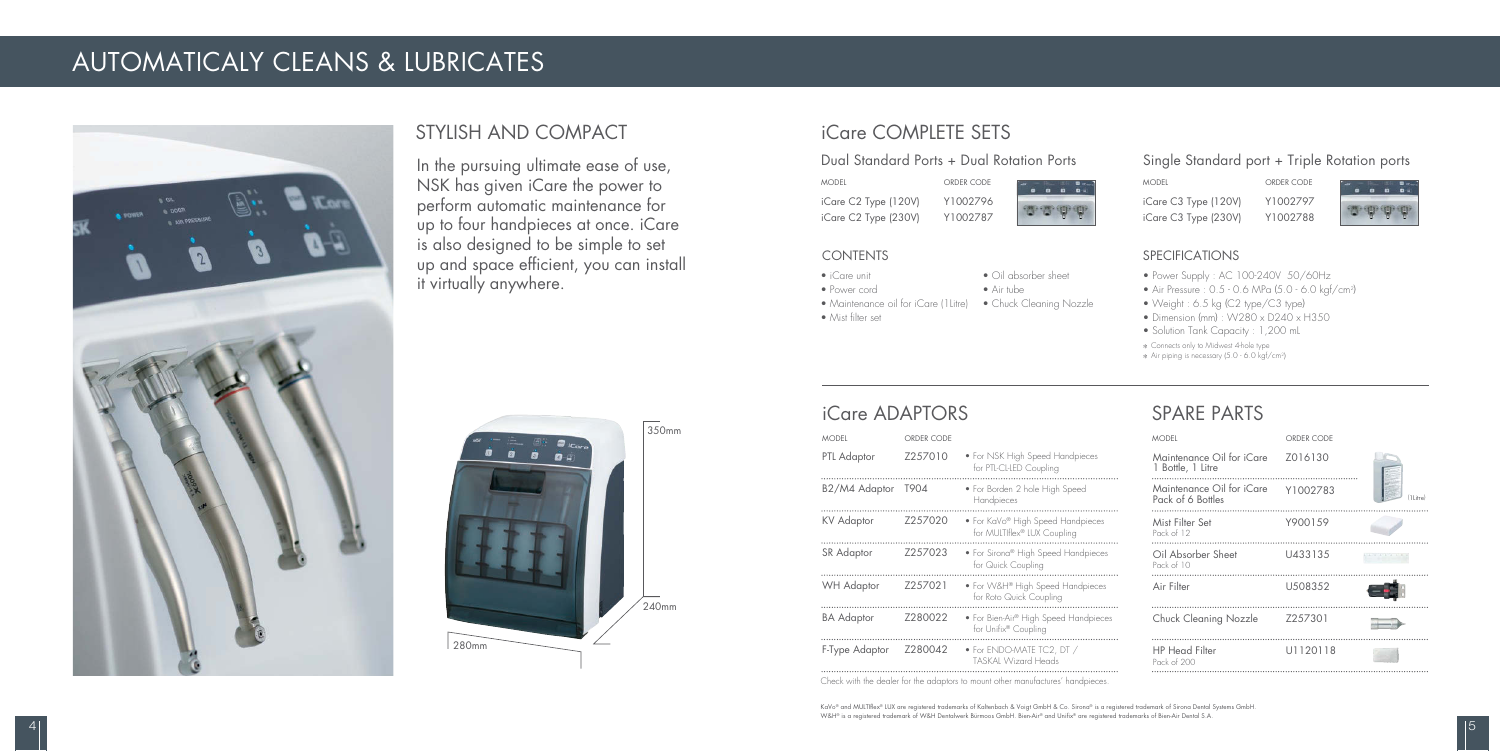### STYLISH AND COMPACT

## iCare ADAPTORS

## SPARE PARTS

### Dual Standard Ports + Dual Rotation Ports Single Standard port + Triple Rotation ports

## iCare COMPLETE SETS

In the pursuing ultimate ease of use, NSK has given iCare the power to perform automatic maintenance for up to four handpieces at once. iCare is also designed to be simple to set up and space efficient, you can install it virtually anywhere.

## $350mm$  $240$ mm 280mm

| <b>MODEL</b>      | ORDER CODE |                                                                  |
|-------------------|------------|------------------------------------------------------------------|
| PTL Adaptor       | 7257010    | • For NSK High Speed Handpieces<br>for PTL-CL-LED Coupling       |
| B2/M4 Adaptor     | T904       | • For Borden 2 hole High Speed<br>Handpieces                     |
| <b>KV</b> Adaptor | Z257020    | • For KaVo® High Speed Handpieces<br>for MULTIflex® LUX Coupling |
| SR Adaptor        | Z257023    | • For Sirona® High Speed Handpieces<br>for Quick Coupling        |
| <b>WH Adaptor</b> | Z257021    | • For W&H® High Speed Handpieces<br>for Roto Quick Coupling      |
| <b>BA</b> Adaptor | Z280022    | • For Bien-Air® High Speed Handpieces<br>for Unifix® Coupling    |
| F-Type Adaptor    | Z280042    | • For ENDO-MATE TC2, DT /<br><b>TASKAL Wizard Heads</b>          |
|                   |            |                                                                  |

- Power Supply : AC 100-240V 50/60Hz
- Air Pressure : 0.5 0.6 MPa (5.0 6.0 kgf/cm2)
- Weight : 6.5 kg (C2 type/C3 type)
- Dimension (mm) : W280 x D240 x H350
- Solution Tank Capacity : 1,200 mL
- \* Connects only to Midwest 4-hole type
- \* Air piping is necessary (5.0 6.0 kgf/cm2)

MODEL iCare C3 Type (230V) iCare C3 Type (120V)

ORDER CODE Y1002788 Y1002797



KaVo® and MULTIflex® LUX are registered trademarks of Kaltenbach & Voigt GmbH & Co. Sirona® is a registered trademark of Sirona Dental Systems GmbH. W&H® is a registered trademark of W&H Dentalwerk Bürmoos GmbH. Bien-Air® and Unifix® are registered trademarks of Bien-Air Dental S.A.

MODEL iCare C2 Type (230V) iCare C2 Type (120V)

ORDER CODE Y1002787 Y1002796



| Maintenance Oil for iCare                                  |             |
|------------------------------------------------------------|-------------|
| Z016130<br>1 Bottle, 1 Litre                               |             |
| Maintenance Oil for iCare<br>Y1002783<br>Pack of 6 Bottles | $(11$ itre) |
| Mist Filter Set<br>Y900159<br>Pack of 12                   |             |
| Oil Absorber Sheet<br>U433135<br>Pack of 10                |             |
| Air Filter<br>U508352                                      |             |
| Z257301<br>Chuck Cleaning Nozzle                           |             |
| <b>HP</b> Head Filter<br>U1120118<br>Pack of 200           |             |

#### SPECIFICATIONS

#### CONTENTS

- iCare unit
- Power cord
- Oil absorber sheet • Air tube
- Maintenance oil for iCare (1Litre) Chuck Cleaning Nozzle • Mist filter set

Check with the dealer for the adaptors to mount other manufactures' handpieces.

## AUTOMATICALY CLEANS & LUBRICATES